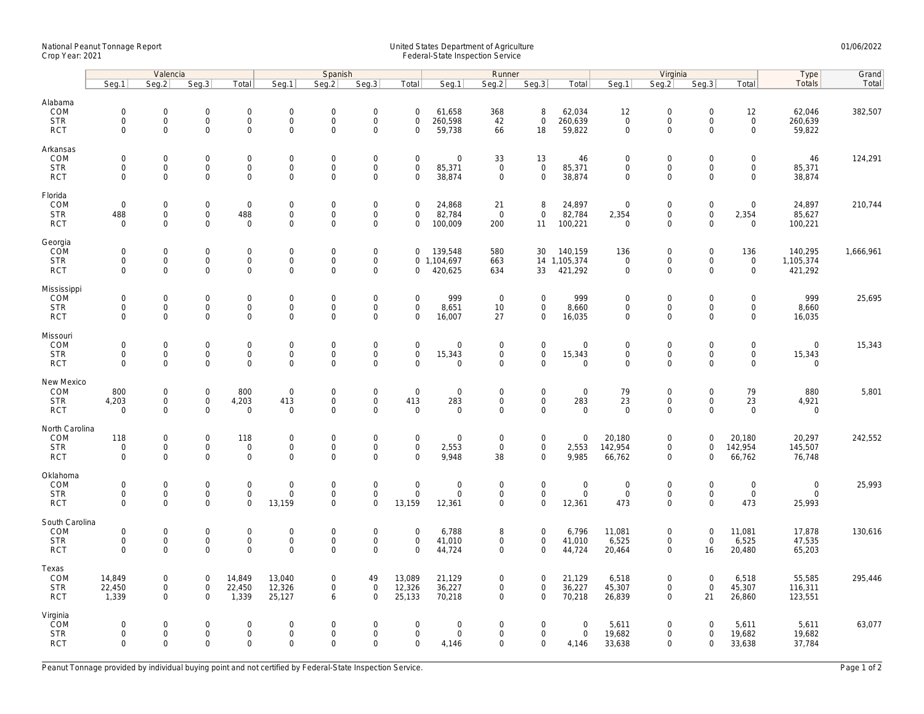## National Peanut Tonnage Report United States Department of Agriculture 01/06/2022 Crop Year: 2021 Federal-State Inspection Service

|                                                       | Valencia                                  |                                                            |                                           |                                                    | Spanish                                           |                                            |                                                                   |                                           |                                              | Runner                                    |                                                    |                                         | Virginia                                          |                                                           |                                                |                                                    | Type                                 | Grand     |
|-------------------------------------------------------|-------------------------------------------|------------------------------------------------------------|-------------------------------------------|----------------------------------------------------|---------------------------------------------------|--------------------------------------------|-------------------------------------------------------------------|-------------------------------------------|----------------------------------------------|-------------------------------------------|----------------------------------------------------|-----------------------------------------|---------------------------------------------------|-----------------------------------------------------------|------------------------------------------------|----------------------------------------------------|--------------------------------------|-----------|
|                                                       | Seg.1                                     | Seg.2                                                      | Seg.3                                     | Total                                              | Seg.1                                             | Seq.2                                      | Seg.3                                                             | Total                                     | Seg.1                                        | Seg.2                                     | Seg.3                                              | Total                                   | Seg.1                                             | Seq.2                                                     | Seg.3                                          | Total                                              | Totals                               | Total     |
| Alabama<br>COM<br><b>STR</b><br><b>RCT</b>            | $\mathbf 0$<br>$\mathbf 0$<br>0           | $\mathsf{O}\xspace$<br>$\mathbf{O}$<br>$\mathbf 0$         | $\mathbf 0$<br>$\mathbf 0$<br>$\mathbf 0$ | $\mathsf{O}\xspace$<br>$\mathbf{0}$<br>$\mathbf 0$ | $\boldsymbol{0}$<br>$\mathsf{O}$<br>$\mathbf 0$   | $\mathbf 0$<br>$\mathbf 0$<br>0            | $\mathsf{O}\xspace$<br>$\mathsf{O}\xspace$<br>$\mathsf{O}\xspace$ | $\mathbf 0$<br>$\mathbf 0$<br>0           | 61,658<br>260,598<br>59,738                  | 368<br>42<br>66                           | 8<br>$\mathbf 0$<br>18                             | 62,034<br>260,639<br>59,822             | 12<br>$\mathbf 0$<br>$\mathsf{O}\xspace$          | $\mathbf 0$<br>$\mathsf{O}$<br>$\Omega$                   | $\mathsf 0$<br>$\mathbf 0$<br>$\Omega$         | 12<br>$\mathsf 0$<br>$\mathbf 0$                   | 62,046<br>260,639<br>59,822          | 382,507   |
| Arkansas<br>COM<br><b>STR</b><br><b>RCT</b>           | $\mathbf 0$<br>$\mathbf 0$<br>$\Omega$    | $\mathsf{O}\xspace$<br>$\mathsf{O}\xspace$<br>$\mathbf{0}$ | $\mathbf 0$<br>$\mathbf 0$<br>$\mathbf 0$ | $\mathbf 0$<br>$\mathbf 0$<br>$\mathbf{0}$         | $\mathbf 0$<br>$\mathbf 0$<br>$\Omega$            | $\mathbf 0$<br>$\mathsf 0$<br>$\mathbf 0$  | $\mathsf{O}\xspace$<br>$\mathsf 0$<br>$\mathbf 0$                 | $\mathsf 0$<br>$\mathsf 0$<br>$\Omega$    | $\mathsf{O}\xspace$<br>85,371<br>38,874      | 33<br>$\mathbf 0$<br>$\mathbf 0$          | 13<br>$\mathbf 0$<br>$\mathbf{0}$                  | 46<br>85,371<br>38,874                  | $\mathbf 0$<br>$\mathsf{O}\xspace$<br>$\mathbf 0$ | $\mathsf{O}\xspace$<br>$\mathsf{O}\xspace$<br>$\Omega$    | 0<br>$\mathsf 0$<br>$\Omega$                   | $\mathsf{O}\xspace$<br>$\mathsf{O}$<br>$\mathbf 0$ | 46<br>85,371<br>38,874               | 124,291   |
| Florida<br>COM<br><b>STR</b><br><b>RCT</b>            | $\mathbf 0$<br>488<br>$\mathbf 0$         | $\mathbf{0}$<br>$\mathsf{O}\xspace$<br>$\mathbf 0$         | $\mathbf 0$<br>0<br>$\mathbf 0$           | $\mathbf 0$<br>488<br>$\mathbf 0$                  | $\mathsf{O}$<br>$\mathsf{O}$<br>$\mathbf 0$       | $\mathbf 0$<br>$\mathbf 0$<br>$\mathbf 0$  | $\mathbf 0$<br>$\mathsf{O}\xspace$<br>$\mathbf 0$                 | $\mathbf 0$<br>0<br>$\mathbf 0$           | 24,868<br>82,784<br>100,009                  | 21<br>$\overline{0}$<br>200               | 8<br>$\mathbf 0$<br>11                             | 24,897<br>82,784<br>100,221             | $\overline{0}$<br>2,354<br>$\overline{0}$         | $\mathbf 0$<br>$\mathsf{O}\xspace$<br>$\mathbf 0$         | $\mathbf 0$<br>$\mathsf{O}\xspace$<br>$\Omega$ | $\mathbf 0$<br>2,354<br>$\mathbf 0$                | 24,897<br>85,627<br>100,221          | 210,744   |
| Georgia<br>COM<br><b>STR</b><br><b>RCT</b>            | $\mathbf 0$<br>0<br>$\mathbf 0$           | $\mathsf{O}\xspace$<br>$\mathsf{O}\xspace$<br>$\mathbf 0$  | $\mathbf 0$<br>$\mathbf 0$<br>$\mathbf 0$ | $\mathsf{O}\xspace$<br>0<br>$\mathbf 0$            | $\mathbf 0$<br>$\mathsf{O}\xspace$<br>$\mathbf 0$ | $\mathbf 0$<br>$\mathbf 0$<br>$\mathbf 0$  | $\mathsf{O}\xspace$<br>$\mathsf{O}\xspace$<br>$\mathbf 0$         | $\mathbf 0$<br>$\mathbf 0$                | 139,548<br>0 1,104,697<br>420,625            | 580<br>663<br>634                         | 30<br>33                                           | 140,159<br>14 1,105,374<br>421,292      | 136<br>$\mathbf 0$<br>$\mathsf{O}\xspace$         | $\mathsf{O}\xspace$<br>$\mathsf{O}\xspace$<br>$\mathbf 0$ | $\mathsf 0$<br>0<br>$\mathbf 0$                | 136<br>$\mathsf{O}\xspace$<br>$\mathbf 0$          | 140,295<br>1,105,374<br>421,292      | 1,666,961 |
| Mississippi<br><b>COM</b><br><b>STR</b><br><b>RCT</b> | $\mathbf 0$<br>$\mathbf 0$<br>$\mathbf 0$ | $\mathsf{O}\xspace$<br>$\mathbf 0$<br>$\mathsf{O}\xspace$  | $\mathbf 0$<br>$\mathbf 0$<br>0           | $\mathsf{O}\xspace$<br>$\mathbf{O}$<br>$\mathbf 0$ | $\mathbf 0$<br>$\mathsf{O}$<br>$\mathbf 0$        | $\mathbf 0$<br>$\mathbf 0$<br>$\mathbf 0$  | $\mathsf{O}\xspace$<br>$\mathbf 0$<br>$\mathbf 0$                 | $\mathbf 0$<br>$\mathbf 0$<br>$\mathbf 0$ | 999<br>8,651<br>16,007                       | $\overline{0}$<br>10<br>27                | $\mathsf{O}\xspace$<br>$\mathbf{O}$<br>$\mathbf 0$ | 999<br>8,660<br>16,035                  | $\mathbf 0$<br>$\mathbf 0$<br>$\mathbf 0$         | $\mathsf{O}\xspace$<br>$\mathbf 0$<br>$\mathbf 0$         | $\Omega$<br>$\mathbf 0$<br>$\mathbf 0$         | $\mathbf 0$<br>$\mathbf{0}$<br>$\mathbf 0$         | 999<br>8,660<br>16,035               | 25,695    |
| Missouri<br>COM<br><b>STR</b><br><b>RCT</b>           | $\mathbf 0$<br>$\mathbf 0$<br>$\Omega$    | $\mathsf{O}\xspace$<br>$\mathbf 0$<br>$\mathbf{0}$         | $\mathbf 0$<br>$\mathbf 0$<br>$\mathbf 0$ | $\mathsf{O}\xspace$<br>$\mathbf 0$<br>$\mathbf{0}$ | $\mathbf 0$<br>$\mathbf 0$<br>$\overline{0}$      | $\mathbf 0$<br>$\mathsf 0$<br>$\mathbf 0$  | $\mathsf{O}\xspace$<br>$\mathsf{O}\xspace$<br>$\mathbf 0$         | $\mathbf 0$<br>$\mathsf 0$<br>$\Omega$    | $\mathsf{O}\xspace$<br>15,343<br>$\mathbf 0$ | $\mathbf 0$<br>$\mathbf 0$<br>$\mathbf 0$ | $\mathsf{O}\xspace$<br>$\mathbf 0$<br>$\Omega$     | $\mathbf 0$<br>15,343<br>$\overline{0}$ | $\mathbf 0$<br>$\mathsf{O}\xspace$<br>$\mathbf 0$ | $\mathsf{O}\xspace$<br>$\mathbf 0$<br>$\Omega$            | $\overline{0}$<br>$\mathbf 0$<br>$\Omega$      | $\mathsf{O}\xspace$<br>$\mathbf 0$<br>$\mathbf 0$  | $\mathbf 0$<br>15,343<br>$\mathbf 0$ | 15,343    |
| New Mexico<br>COM<br><b>STR</b><br><b>RCT</b>         | 800<br>4,203<br>$\mathbf 0$               | 0<br>$\mathsf{O}\xspace$<br>$\mathbf 0$                    | $\mathbf 0$<br>$\mathsf 0$<br>$\mathbf 0$ | 800<br>4,203<br>$\mathbf 0$                        | $\boldsymbol{0}$<br>413<br>$\mathbf 0$            | $\mathbf 0$<br>$\mathsf 0$<br>$\mathbf{0}$ | $\mathsf{O}\xspace$<br>$\mathbf 0$<br>$\mathbf 0$                 | $\mathbf 0$<br>413<br>$\mathbf 0$         | $\mathbf 0$<br>283<br>$\mathbf 0$            | $\mathbf 0$<br>$\mathbf 0$<br>$\mathbf 0$ | $\mathsf{O}\xspace$<br>$\mathbf 0$<br>$\mathbf{0}$ | $\mathsf{O}$<br>283<br>$\mathbf 0$      | 79<br>23<br>$\mathbf 0$                           | $\mathbf 0$<br>$\mathsf{O}\xspace$<br>$\mathbf 0$         | 0<br>$\mathbf 0$<br>$\Omega$                   | 79<br>23<br>$\mathbf 0$                            | 880<br>4,921<br>$\mathbf 0$          | 5,801     |
| North Carolina<br>COM<br><b>STR</b><br><b>RCT</b>     | 118<br>$\mathbf 0$<br>$\mathbf 0$         | $\mathbf 0$<br>$\mathsf{O}\xspace$<br>$\mathbf 0$          | $\mathbf 0$<br>$\mathsf 0$<br>$\mathbf 0$ | 118<br>$\mathbf 0$<br>$\mathbf 0$                  | $\mathbf 0$<br>$\mathsf{O}$<br>$\mathbf 0$        | $\mathbf 0$<br>$\mathsf 0$<br>$\mathbf 0$  | $\mathbf 0$<br>$\mathsf{O}\xspace$<br>$\mathbf 0$                 | $\mathbf 0$<br>$\mathsf 0$<br>$\Omega$    | $\mathbf 0$<br>2,553<br>9,948                | 0<br>$\mathsf 0$<br>38                    | $\mathbf 0$<br>$\mathbf 0$<br>$\mathbf 0$          | $\mathbf 0$<br>2,553<br>9,985           | 20,180<br>142,954<br>66,762                       | $\mathbf 0$<br>$\mathbf 0$<br>$\mathbf 0$                 | $\Omega$<br>$\mathbf 0$<br>$\Omega$            | 20,180<br>142,954<br>66,762                        | 20,297<br>145,507<br>76,748          | 242,552   |
| Oklahoma<br>COM<br><b>STR</b><br><b>RCT</b>           | $\mathbf 0$<br>$\mathbf 0$<br>$\mathbf 0$ | $\mathsf{O}\xspace$<br>$\mathsf{O}\xspace$<br>$\mathbf 0$  | $\mathbf 0$<br>$\mathbf 0$<br>$\mathbf 0$ | $\mathbf 0$<br>$\mathbf 0$<br>$\mathbf 0$          | $\mathbf 0$<br>$\mathsf{O}$<br>13,159             | $\mathbf 0$<br>$\mathbf 0$<br>$\Omega$     | $\mathsf{O}\xspace$<br>$\mathsf{O}\xspace$<br>$\mathbf 0$         | $\mathbf 0$<br>$\mathbf 0$<br>13,159      | $\mathbf 0$<br>$\mathbf 0$<br>12,361         | $\mathbf 0$<br>$\mathbf 0$<br>$\mathbf 0$ | $\mathbf{0}$<br>$\overline{0}$<br>$\mathbf 0$      | $\mathbf 0$<br>$\mathsf{O}$<br>12,361   | $\mathbf 0$<br>$\mathsf{O}\xspace$<br>473         | $\mathsf{O}\xspace$<br>$\mathsf{O}\xspace$<br>$\mathbf 0$ | $\mathbf 0$<br>$\mathbf 0$<br>$\Omega$         | $\mathsf{O}\xspace$<br>$\mathsf{O}\xspace$<br>473  | $\mathbf 0$<br>$\mathbf 0$<br>25,993 | 25,993    |
| South Carolina<br>COM<br><b>STR</b><br><b>RCT</b>     | $\mathbf 0$<br>$\mathbf 0$<br>$\Omega$    | $\mathsf{O}\xspace$<br>$\mathsf{O}\xspace$<br>$\Omega$     | $\mathbf 0$<br>$\mathbf 0$<br>$\Omega$    | $\mathbf 0$<br>$\mathsf{O}\xspace$<br>$\mathbf 0$  | $\mathbf 0$<br>$\mathbf 0$<br>$\Omega$            | $\mathbf 0$<br>$\mathsf 0$<br>$\Omega$     | $\mathsf{O}\xspace$<br>$\mathsf{O}\xspace$<br>$\Omega$            | $\mathbf 0$<br>$\mathsf 0$<br>$\Omega$    | 6,788<br>41,010<br>44,724                    | 8<br>0<br>$\Omega$                        | $\mathbf 0$<br>$\mathbf 0$<br>$\mathbf 0$          | 6,796<br>41,010<br>44,724               | 11,081<br>6,525<br>20,464                         | $\mathsf{O}\xspace$<br>$\mathsf{O}\xspace$<br>$\mathbf 0$ | $\mathbf 0$<br>$\mathsf 0$<br>16               | 11,081<br>6,525<br>20,480                          | 17,878<br>47,535<br>65,203           | 130,616   |
| Texas<br>COM<br><b>STR</b><br><b>RCT</b>              | 14,849<br>22,450<br>1,339                 | $\mathbf 0$<br>$\mathsf{O}\xspace$<br>$\mathbf{0}$         | $\mathbf 0$<br>$\mathbf 0$<br>$\mathbf 0$ | 14,849<br>22,450<br>1,339                          | 13,040<br>12,326<br>25,127                        | $\mathbf 0$<br>$\mathbf 0$<br>6            | 49<br>$\mathsf{O}\xspace$<br>$\Omega$                             | 13,089<br>12,326<br>25,133                | 21,129<br>36,227<br>70,218                   | 0<br>0<br>$\mathbf 0$                     | $\mathbf 0$<br>$\mathbf 0$<br>$\mathbf{0}$         | 21,129<br>36,227<br>70,218              | 6,518<br>45,307<br>26,839                         | $\mathbf 0$<br>$\mathsf{O}\xspace$<br>$\mathbf 0$         | $\mathbf 0$<br>$\mathsf 0$<br>21               | 6,518<br>45,307<br>26,860                          | 55,585<br>116,311<br>123,551         | 295,446   |
| Virginia<br>COM<br><b>STR</b><br><b>RCT</b>           | $\mathbf 0$<br>$\mathbf 0$<br>$\mathbf 0$ | $\mathbf{0}$<br>$\mathsf{O}\xspace$<br>$\mathbf 0$         | $\mathbf 0$<br>$\mathbf 0$<br>$\mathbf 0$ | $\mathbf 0$<br>$\mathsf{O}\xspace$<br>$\mathbf 0$  | $\mathbf 0$<br>$\mathsf{O}$<br>$\mathbf 0$        | $\mathbf 0$<br>$\mathsf 0$<br>$\Omega$     | $\mathbf 0$<br>$\mathsf{O}\xspace$<br>$\mathbf 0$                 | $\mathbf 0$<br>$\mathbf 0$<br>$\mathbf 0$ | $\mathbf 0$<br>$\mathsf{O}\xspace$<br>4,146  | 0<br>0<br>0                               | $\mathbf 0$<br>$\mathbf 0$<br>$\mathbf 0$          | $\mathbf 0$<br>$\mathsf 0$<br>4,146     | 5,611<br>19,682<br>33,638                         | $\mathbf 0$<br>$\mathsf{O}\xspace$<br>$\mathbf 0$         | $\Omega$<br>$\mathbf 0$<br>$\mathbf 0$         | 5,611<br>19,682<br>33,638                          | 5,611<br>19,682<br>37,784            | 63,077    |

Peanut Tonnage provided by individual buying point and not certified by Federal-State Inspection Service. Page 1 of 2